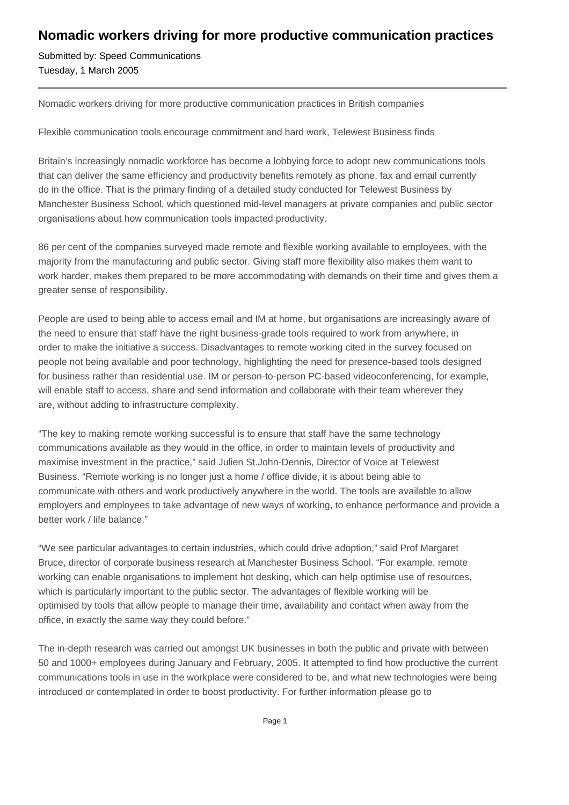## **Nomadic workers driving for more productive communication practices**

Submitted by: Speed Communications Tuesday, 1 March 2005

Nomadic workers driving for more productive communication practices in British companies

Flexible communication tools encourage commitment and hard work, Telewest Business finds

Britain's increasingly nomadic workforce has become a lobbying force to adopt new communications tools that can deliver the same efficiency and productivity benefits remotely as phone, fax and email currently do in the office. That is the primary finding of a detailed study conducted for Telewest Business by Manchester Business School, which questioned mid-level managers at private companies and public sector organisations about how communication tools impacted productivity.

86 per cent of the companies surveyed made remote and flexible working available to employees, with the majority from the manufacturing and public sector. Giving staff more flexibility also makes them want to work harder, makes them prepared to be more accommodating with demands on their time and gives them a greater sense of responsibility.

People are used to being able to access email and IM at home, but organisations are increasingly aware of the need to ensure that staff have the right business-grade tools required to work from anywhere, in order to make the initiative a success. Disadvantages to remote working cited in the survey focused on people not being available and poor technology, highlighting the need for presence-based tools designed for business rather than residential use. IM or person-to-person PC-based videoconferencing, for example, will enable staff to access, share and send information and collaborate with their team wherever they are, without adding to infrastructure complexity.

"The key to making remote working successful is to ensure that staff have the same technology communications available as they would in the office, in order to maintain levels of productivity and maximise investment in the practice," said Julien St.John-Dennis, Director of Voice at Telewest Business. "Remote working is no longer just a home / office divide, it is about being able to communicate with others and work productively anywhere in the world. The tools are available to allow employers and employees to take advantage of new ways of working, to enhance performance and provide a better work / life balance."

"We see particular advantages to certain industries, which could drive adoption," said Prof Margaret Bruce, director of corporate business research at Manchester Business School. "For example, remote working can enable organisations to implement hot desking, which can help optimise use of resources, which is particularly important to the public sector. The advantages of flexible working will be optimised by tools that allow people to manage their time, availability and contact when away from the office, in exactly the same way they could before."

The in-depth research was carried out amongst UK businesses in both the public and private with between 50 and 1000+ employees during January and February, 2005. It attempted to find how productive the current communications tools in use in the workplace were considered to be, and what new technologies were being introduced or contemplated in order to boost productivity. For further information please go to